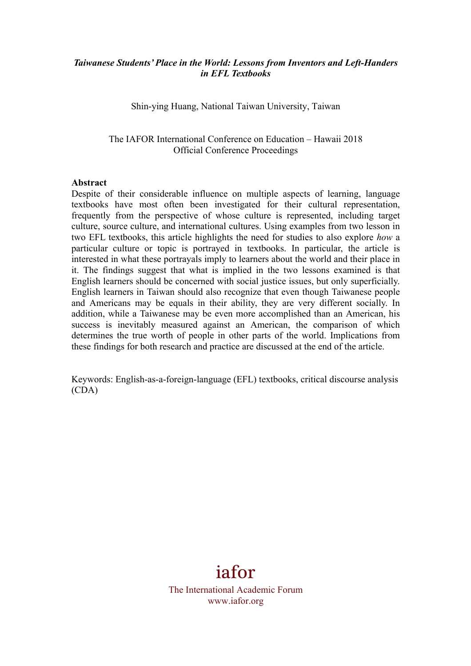## *Taiwanese Students' Place in the World: Lessons from Inventors and Left-Handers in EFL Textbooks*

Shin-ying Huang, National Taiwan University, Taiwan

The IAFOR International Conference on Education – Hawaii 2018 Official Conference Proceedings

#### **Abstract**

Despite of their considerable influence on multiple aspects of learning, language textbooks have most often been investigated for their cultural representation, frequently from the perspective of whose culture is represented, including target culture, source culture, and international cultures. Using examples from two lesson in two EFL textbooks, this article highlights the need for studies to also explore *how* a particular culture or topic is portrayed in textbooks. In particular, the article is interested in what these portrayals imply to learners about the world and their place in it. The findings suggest that what is implied in the two lessons examined is that English learners should be concerned with social justice issues, but only superficially. English learners in Taiwan should also recognize that even though Taiwanese people and Americans may be equals in their ability, they are very different socially. In addition, while a Taiwanese may be even more accomplished than an American, his success is inevitably measured against an American, the comparison of which determines the true worth of people in other parts of the world. Implications from these findings for both research and practice are discussed at the end of the article.

Keywords: English-as-a-foreign-language (EFL) textbooks, critical discourse analysis (CDA)

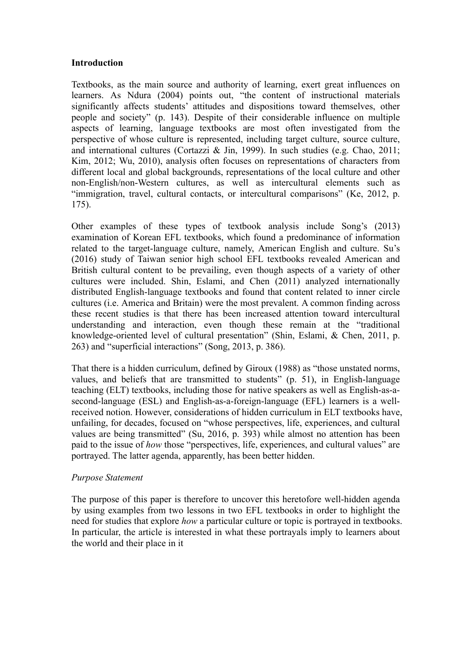#### **Introduction**

Textbooks, as the main source and authority of learning, exert great influences on learners. As Ndura (2004) points out, "the content of instructional materials significantly affects students' attitudes and dispositions toward themselves, other people and society" (p. 143). Despite of their considerable influence on multiple aspects of learning, language textbooks are most often investigated from the perspective of whose culture is represented, including target culture, source culture, and international cultures (Cortazzi & Jin, 1999). In such studies (e.g. Chao, 2011; Kim, 2012; Wu, 2010), analysis often focuses on representations of characters from different local and global backgrounds, representations of the local culture and other non-English/non-Western cultures, as well as intercultural elements such as "immigration, travel, cultural contacts, or intercultural comparisons" (Ke, 2012, p. 175).

Other examples of these types of textbook analysis include Song's (2013) examination of Korean EFL textbooks, which found a predominance of information related to the target-language culture, namely, American English and culture. Su's (2016) study of Taiwan senior high school EFL textbooks revealed American and British cultural content to be prevailing, even though aspects of a variety of other cultures were included. Shin, Eslami, and Chen (2011) analyzed internationally distributed English-language textbooks and found that content related to inner circle cultures (i.e. America and Britain) were the most prevalent. A common finding across these recent studies is that there has been increased attention toward intercultural understanding and interaction, even though these remain at the "traditional knowledge-oriented level of cultural presentation" (Shin, Eslami, & Chen, 2011, p. 263) and "superficial interactions" (Song, 2013, p. 386).

That there is a hidden curriculum, defined by Giroux (1988) as "those unstated norms, values, and beliefs that are transmitted to students" (p. 51), in English-language teaching (ELT) textbooks, including those for native speakers as well as English-as-asecond-language (ESL) and English-as-a-foreign-language (EFL) learners is a wellreceived notion. However, considerations of hidden curriculum in ELT textbooks have, unfailing, for decades, focused on "whose perspectives, life, experiences, and cultural values are being transmitted" (Su, 2016, p. 393) while almost no attention has been paid to the issue of *how* those "perspectives, life, experiences, and cultural values" are portrayed. The latter agenda, apparently, has been better hidden.

#### *Purpose Statement*

The purpose of this paper is therefore to uncover this heretofore well-hidden agenda by using examples from two lessons in two EFL textbooks in order to highlight the need for studies that explore *how* a particular culture or topic is portrayed in textbooks. In particular, the article is interested in what these portrayals imply to learners about the world and their place in it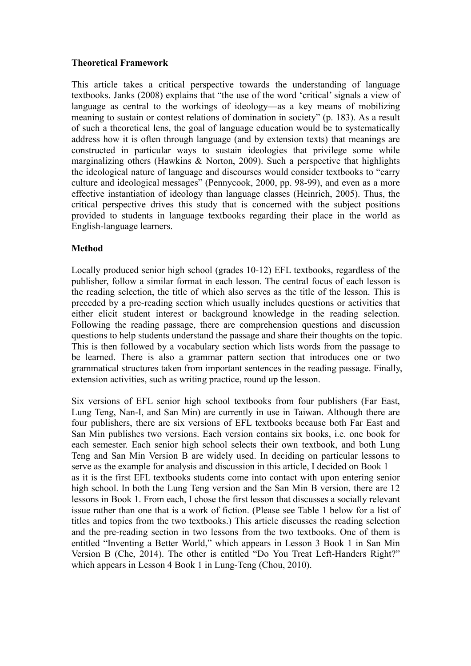## **Theoretical Framework**

This article takes a critical perspective towards the understanding of language textbooks. Janks (2008) explains that "the use of the word 'critical' signals a view of language as central to the workings of ideology—as a key means of mobilizing meaning to sustain or contest relations of domination in society" (p. 183). As a result of such a theoretical lens, the goal of language education would be to systematically address how it is often through language (and by extension texts) that meanings are constructed in particular ways to sustain ideologies that privilege some while marginalizing others (Hawkins  $\&$  Norton, 2009). Such a perspective that highlights the ideological nature of language and discourses would consider textbooks to "carry culture and ideological messages" (Pennycook, 2000, pp. 98-99), and even as a more effective instantiation of ideology than language classes (Heinrich, 2005). Thus, the critical perspective drives this study that is concerned with the subject positions provided to students in language textbooks regarding their place in the world as English-language learners.

## **Method**

Locally produced senior high school (grades 10-12) EFL textbooks, regardless of the publisher, follow a similar format in each lesson. The central focus of each lesson is the reading selection, the title of which also serves as the title of the lesson. This is preceded by a pre-reading section which usually includes questions or activities that either elicit student interest or background knowledge in the reading selection. Following the reading passage, there are comprehension questions and discussion questions to help students understand the passage and share their thoughts on the topic. This is then followed by a vocabulary section which lists words from the passage to be learned. There is also a grammar pattern section that introduces one or two grammatical structures taken from important sentences in the reading passage. Finally, extension activities, such as writing practice, round up the lesson.

Six versions of EFL senior high school textbooks from four publishers (Far East, Lung Teng, Nan-I, and San Min) are currently in use in Taiwan. Although there are four publishers, there are six versions of EFL textbooks because both Far East and San Min publishes two versions. Each version contains six books, i.e. one book for each semester. Each senior high school selects their own textbook, and both Lung Teng and San Min Version B are widely used. In deciding on particular lessons to serve as the example for analysis and discussion in this article, I decided on Book 1 as it is the first EFL textbooks students come into contact with upon entering senior high school. In both the Lung Teng version and the San Min B version, there are 12 lessons in Book 1. From each, I chose the first lesson that discusses a socially relevant issue rather than one that is a work of fiction. (Please see Table 1 below for a list of titles and topics from the two textbooks.) This article discusses the reading selection and the pre-reading section in two lessons from the two textbooks. One of them is entitled "Inventing a Better World," which appears in Lesson 3 Book 1 in San Min Version B (Che, 2014). The other is entitled "Do You Treat Left-Handers Right?" which appears in Lesson 4 Book 1 in Lung-Teng (Chou, 2010).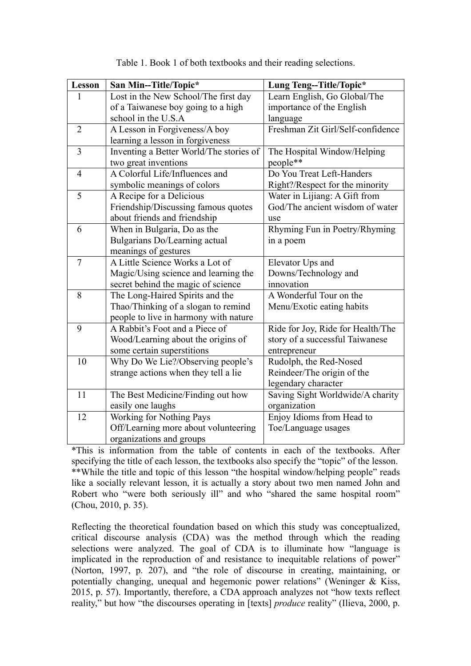| Lesson         | San Min--Title/Topic*                   | Lung Teng--Title/Topic*           |  |
|----------------|-----------------------------------------|-----------------------------------|--|
| 1              | Lost in the New School/The first day    | Learn English, Go Global/The      |  |
|                | of a Taiwanese boy going to a high      | importance of the English         |  |
|                | school in the U.S.A                     | language                          |  |
| $\overline{2}$ | A Lesson in Forgiveness/A boy           | Freshman Zit Girl/Self-confidence |  |
|                | learning a lesson in forgiveness        |                                   |  |
| $\overline{3}$ | Inventing a Better World/The stories of | The Hospital Window/Helping       |  |
|                | two great inventions                    | people**                          |  |
| $\overline{4}$ | A Colorful Life/Influences and          | Do You Treat Left-Handers         |  |
|                | symbolic meanings of colors             | Right?/Respect for the minority   |  |
| 5              | A Recipe for a Delicious                | Water in Lijiang: A Gift from     |  |
|                | Friendship/Discussing famous quotes     | God/The ancient wisdom of water   |  |
|                | about friends and friendship            | use                               |  |
| 6              | When in Bulgaria, Do as the             | Rhyming Fun in Poetry/Rhyming     |  |
|                | Bulgarians Do/Learning actual           | in a poem                         |  |
|                | meanings of gestures                    |                                   |  |
| $\tau$         | A Little Science Works a Lot of         | Elevator Ups and                  |  |
|                | Magic/Using science and learning the    | Downs/Technology and              |  |
|                | secret behind the magic of science      | innovation                        |  |
| 8              | The Long-Haired Spirits and the         | A Wonderful Tour on the           |  |
|                | Thao/Thinking of a slogan to remind     | Menu/Exotic eating habits         |  |
|                | people to live in harmony with nature   |                                   |  |
| 9              | A Rabbit's Foot and a Piece of          | Ride for Joy, Ride for Health/The |  |
|                | Wood/Learning about the origins of      | story of a successful Taiwanese   |  |
|                | some certain superstitions              | entrepreneur                      |  |
| 10             | Why Do We Lie?/Observing people's       | Rudolph, the Red-Nosed            |  |
|                | strange actions when they tell a lie    | Reindeer/The origin of the        |  |
|                |                                         | legendary character               |  |
| 11             | The Best Medicine/Finding out how       | Saving Sight Worldwide/A charity  |  |
|                | easily one laughs                       | organization                      |  |
| 12             | Working for Nothing Pays                | Enjoy Idioms from Head to         |  |
|                | Off/Learning more about volunteering    | Toe/Language usages               |  |
|                | organizations and groups                |                                   |  |

|  | Table 1. Book 1 of both textbooks and their reading selections. |
|--|-----------------------------------------------------------------|
|  |                                                                 |

\*This is information from the table of contents in each of the textbooks. After specifying the title of each lesson, the textbooks also specify the "topic" of the lesson. \*\*While the title and topic of this lesson "the hospital window/helping people" reads like a socially relevant lesson, it is actually a story about two men named John and Robert who "were both seriously ill" and who "shared the same hospital room" (Chou, 2010, p. 35).

Reflecting the theoretical foundation based on which this study was conceptualized, critical discourse analysis (CDA) was the method through which the reading selections were analyzed. The goal of CDA is to illuminate how "language is implicated in the reproduction of and resistance to inequitable relations of power" (Norton, 1997, p. 207), and "the role of discourse in creating, maintaining, or potentially changing, unequal and hegemonic power relations" (Weninger & Kiss, 2015, p. 57). Importantly, therefore, a CDA approach analyzes not "how texts reflect reality," but how "the discourses operating in [texts] *produce* reality" (Ilieva, 2000, p.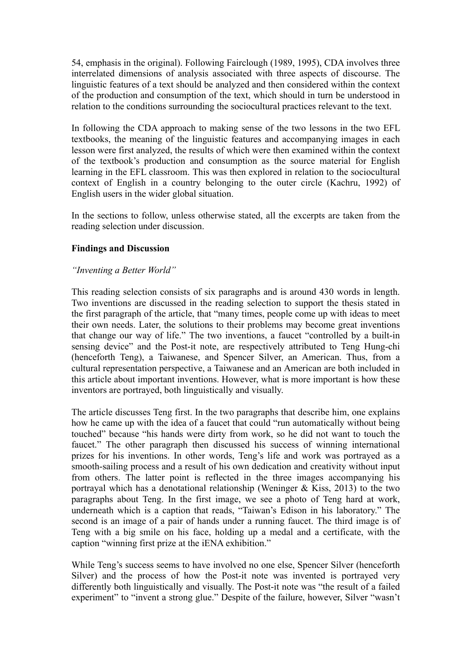54, emphasis in the original). Following Fairclough (1989, 1995), CDA involves three interrelated dimensions of analysis associated with three aspects of discourse. The linguistic features of a text should be analyzed and then considered within the context of the production and consumption of the text, which should in turn be understood in relation to the conditions surrounding the sociocultural practices relevant to the text.

In following the CDA approach to making sense of the two lessons in the two EFL textbooks, the meaning of the linguistic features and accompanying images in each lesson were first analyzed, the results of which were then examined within the context of the textbook's production and consumption as the source material for English learning in the EFL classroom. This was then explored in relation to the sociocultural context of English in a country belonging to the outer circle (Kachru, 1992) of English users in the wider global situation.

In the sections to follow, unless otherwise stated, all the excerpts are taken from the reading selection under discussion.

# **Findings and Discussion**

## *"Inventing a Better World"*

This reading selection consists of six paragraphs and is around 430 words in length. Two inventions are discussed in the reading selection to support the thesis stated in the first paragraph of the article, that "many times, people come up with ideas to meet their own needs. Later, the solutions to their problems may become great inventions that change our way of life." The two inventions, a faucet "controlled by a built-in sensing device" and the Post-it note, are respectively attributed to Teng Hung-chi (henceforth Teng), a Taiwanese, and Spencer Silver, an American. Thus, from a cultural representation perspective, a Taiwanese and an American are both included in this article about important inventions. However, what is more important is how these inventors are portrayed, both linguistically and visually.

The article discusses Teng first. In the two paragraphs that describe him, one explains how he came up with the idea of a faucet that could "run automatically without being touched" because "his hands were dirty from work, so he did not want to touch the faucet." The other paragraph then discussed his success of winning international prizes for his inventions. In other words, Teng's life and work was portrayed as a smooth-sailing process and a result of his own dedication and creativity without input from others. The latter point is reflected in the three images accompanying his portrayal which has a denotational relationship (Weninger  $\&$  Kiss, 2013) to the two paragraphs about Teng. In the first image, we see a photo of Teng hard at work, underneath which is a caption that reads, "Taiwan's Edison in his laboratory." The second is an image of a pair of hands under a running faucet. The third image is of Teng with a big smile on his face, holding up a medal and a certificate, with the caption "winning first prize at the iENA exhibition."

While Teng's success seems to have involved no one else, Spencer Silver (henceforth Silver) and the process of how the Post-it note was invented is portrayed very differently both linguistically and visually. The Post-it note was "the result of a failed experiment" to "invent a strong glue." Despite of the failure, however, Silver "wasn't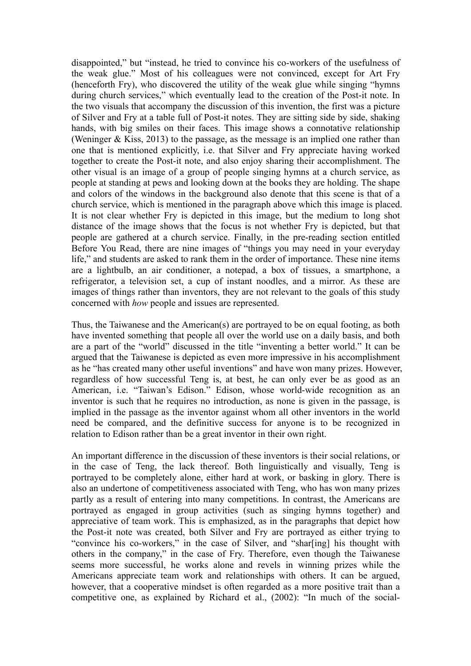disappointed," but "instead, he tried to convince his co-workers of the usefulness of the weak glue." Most of his colleagues were not convinced, except for Art Fry (henceforth Fry), who discovered the utility of the weak glue while singing "hymns during church services," which eventually lead to the creation of the Post-it note. In the two visuals that accompany the discussion of this invention, the first was a picture of Silver and Fry at a table full of Post-it notes. They are sitting side by side, shaking hands, with big smiles on their faces. This image shows a connotative relationship (Weninger & Kiss, 2013) to the passage, as the message is an implied one rather than one that is mentioned explicitly, i.e. that Silver and Fry appreciate having worked together to create the Post-it note, and also enjoy sharing their accomplishment. The other visual is an image of a group of people singing hymns at a church service, as people at standing at pews and looking down at the books they are holding. The shape and colors of the windows in the background also denote that this scene is that of a church service, which is mentioned in the paragraph above which this image is placed. It is not clear whether Fry is depicted in this image, but the medium to long shot distance of the image shows that the focus is not whether Fry is depicted, but that people are gathered at a church service. Finally, in the pre-reading section entitled Before You Read, there are nine images of "things you may need in your everyday life," and students are asked to rank them in the order of importance. These nine items are a lightbulb, an air conditioner, a notepad, a box of tissues, a smartphone, a refrigerator, a television set, a cup of instant noodles, and a mirror. As these are images of things rather than inventors, they are not relevant to the goals of this study concerned with *how* people and issues are represented.

Thus, the Taiwanese and the American(s) are portrayed to be on equal footing, as both have invented something that people all over the world use on a daily basis, and both are a part of the "world" discussed in the title "inventing a better world." It can be argued that the Taiwanese is depicted as even more impressive in his accomplishment as he "has created many other useful inventions" and have won many prizes. However, regardless of how successful Teng is, at best, he can only ever be as good as an American, i.e. "Taiwan's Edison." Edison, whose world-wide recognition as an inventor is such that he requires no introduction, as none is given in the passage, is implied in the passage as the inventor against whom all other inventors in the world need be compared, and the definitive success for anyone is to be recognized in relation to Edison rather than be a great inventor in their own right.

An important difference in the discussion of these inventors is their social relations, or in the case of Teng, the lack thereof. Both linguistically and visually, Teng is portrayed to be completely alone, either hard at work, or basking in glory. There is also an undertone of competitiveness associated with Teng, who has won many prizes partly as a result of entering into many competitions. In contrast, the Americans are portrayed as engaged in group activities (such as singing hymns together) and appreciative of team work. This is emphasized, as in the paragraphs that depict how the Post-it note was created, both Silver and Fry are portrayed as either trying to "convince his co-workers," in the case of Silver, and "shar[ing] his thought with others in the company," in the case of Fry. Therefore, even though the Taiwanese seems more successful, he works alone and revels in winning prizes while the Americans appreciate team work and relationships with others. It can be argued, however, that a cooperative mindset is often regarded as a more positive trait than a competitive one, as explained by Richard et al., (2002): "In much of the social-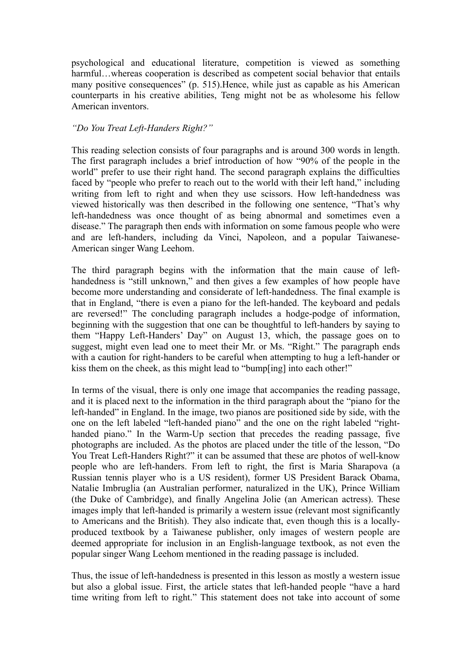psychological and educational literature, competition is viewed as something harmful...whereas cooperation is described as competent social behavior that entails many positive consequences" (p. 515).Hence, while just as capable as his American counterparts in his creative abilities, Teng might not be as wholesome his fellow American inventors.

## *"Do You Treat Left-Handers Right?"*

This reading selection consists of four paragraphs and is around 300 words in length. The first paragraph includes a brief introduction of how "90% of the people in the world" prefer to use their right hand. The second paragraph explains the difficulties faced by "people who prefer to reach out to the world with their left hand," including writing from left to right and when they use scissors. How left-handedness was viewed historically was then described in the following one sentence, "That's why left-handedness was once thought of as being abnormal and sometimes even a disease." The paragraph then ends with information on some famous people who were and are left-handers, including da Vinci, Napoleon, and a popular Taiwanese-American singer Wang Leehom.

The third paragraph begins with the information that the main cause of lefthandedness is "still unknown," and then gives a few examples of how people have become more understanding and considerate of left-handedness. The final example is that in England, "there is even a piano for the left-handed. The keyboard and pedals are reversed!" The concluding paragraph includes a hodge-podge of information, beginning with the suggestion that one can be thoughtful to left-handers by saying to them "Happy Left-Handers' Day" on August 13, which, the passage goes on to suggest, might even lead one to meet their Mr. or Ms. "Right." The paragraph ends with a caution for right-handers to be careful when attempting to hug a left-hander or kiss them on the cheek, as this might lead to "bump[ing] into each other!"

In terms of the visual, there is only one image that accompanies the reading passage, and it is placed next to the information in the third paragraph about the "piano for the left-handed" in England. In the image, two pianos are positioned side by side, with the one on the left labeled "left-handed piano" and the one on the right labeled "righthanded piano." In the Warm-Up section that precedes the reading passage, five photographs are included. As the photos are placed under the title of the lesson, "Do You Treat Left-Handers Right?" it can be assumed that these are photos of well-know people who are left-handers. From left to right, the first is Maria Sharapova (a Russian tennis player who is a US resident), former US President Barack Obama, Natalie Imbruglia (an Australian performer, naturalized in the UK), Prince William (the Duke of Cambridge), and finally Angelina Jolie (an American actress). These images imply that left-handed is primarily a western issue (relevant most significantly to Americans and the British). They also indicate that, even though this is a locallyproduced textbook by a Taiwanese publisher, only images of western people are deemed appropriate for inclusion in an English-language textbook, as not even the popular singer Wang Leehom mentioned in the reading passage is included.

Thus, the issue of left-handedness is presented in this lesson as mostly a western issue but also a global issue. First, the article states that left-handed people "have a hard time writing from left to right." This statement does not take into account of some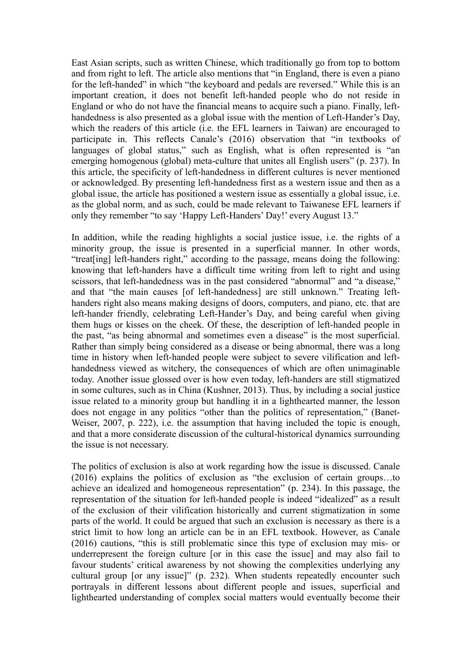East Asian scripts, such as written Chinese, which traditionally go from top to bottom and from right to left. The article also mentions that "in England, there is even a piano for the left-handed" in which "the keyboard and pedals are reversed." While this is an important creation, it does not benefit left-handed people who do not reside in England or who do not have the financial means to acquire such a piano. Finally, lefthandedness is also presented as a global issue with the mention of Left-Hander's Day, which the readers of this article (i.e. the EFL learners in Taiwan) are encouraged to participate in. This reflects Canale's (2016) observation that "in textbooks of languages of global status," such as English, what is often represented is "an emerging homogenous (global) meta-culture that unites all English users" (p. 237). In this article, the specificity of left-handedness in different cultures is never mentioned or acknowledged. By presenting left-handedness first as a western issue and then as a global issue, the article has positioned a western issue as essentially a global issue, i.e. as the global norm, and as such, could be made relevant to Taiwanese EFL learners if only they remember "to say 'Happy Left-Handers' Day!' every August 13."

In addition, while the reading highlights a social justice issue, i.e. the rights of a minority group, the issue is presented in a superficial manner. In other words, "treat[ing] left-handers right," according to the passage, means doing the following: knowing that left-handers have a difficult time writing from left to right and using scissors, that left-handedness was in the past considered "abnormal" and "a disease," and that "the main causes [of left-handedness] are still unknown." Treating lefthanders right also means making designs of doors, computers, and piano, etc. that are left-hander friendly, celebrating Left-Hander's Day, and being careful when giving them hugs or kisses on the cheek. Of these, the description of left-handed people in the past, "as being abnormal and sometimes even a disease" is the most superficial. Rather than simply being considered as a disease or being abnormal, there was a long time in history when left-handed people were subject to severe vilification and lefthandedness viewed as witchery, the consequences of which are often unimaginable today. Another issue glossed over is how even today, left-handers are still stigmatized in some cultures, such as in China (Kushner, 2013). Thus, by including a social justice issue related to a minority group but handling it in a lighthearted manner, the lesson does not engage in any politics "other than the politics of representation," (Banet-Weiser, 2007, p. 222), i.e. the assumption that having included the topic is enough, and that a more considerate discussion of the cultural-historical dynamics surrounding the issue is not necessary.

The politics of exclusion is also at work regarding how the issue is discussed. Canale (2016) explains the politics of exclusion as "the exclusion of certain groups…to achieve an idealized and homogeneous representation" (p. 234). In this passage, the representation of the situation for left-handed people is indeed "idealized" as a result of the exclusion of their vilification historically and current stigmatization in some parts of the world. It could be argued that such an exclusion is necessary as there is a strict limit to how long an article can be in an EFL textbook. However, as Canale (2016) cautions, "this is still problematic since this type of exclusion may mis- or underrepresent the foreign culture [or in this case the issue] and may also fail to favour students' critical awareness by not showing the complexities underlying any cultural group [or any issue]" (p. 232). When students repeatedly encounter such portrayals in different lessons about different people and issues, superficial and lighthearted understanding of complex social matters would eventually become their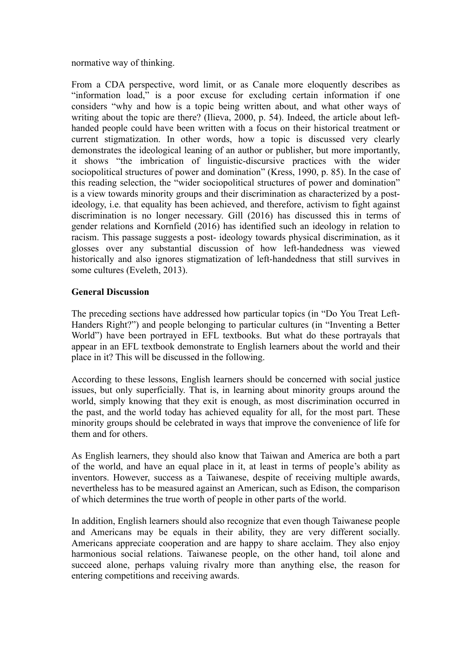normative way of thinking.

From a CDA perspective, word limit, or as Canale more eloquently describes as "information load," is a poor excuse for excluding certain information if one considers "why and how is a topic being written about, and what other ways of writing about the topic are there? (Ilieva, 2000, p. 54). Indeed, the article about lefthanded people could have been written with a focus on their historical treatment or current stigmatization. In other words, how a topic is discussed very clearly demonstrates the ideological leaning of an author or publisher, but more importantly, it shows "the imbrication of linguistic-discursive practices with the wider sociopolitical structures of power and domination" (Kress, 1990, p. 85). In the case of this reading selection, the "wider sociopolitical structures of power and domination" is a view towards minority groups and their discrimination as characterized by a postideology, i.e. that equality has been achieved, and therefore, activism to fight against discrimination is no longer necessary. Gill (2016) has discussed this in terms of gender relations and Kornfield (2016) has identified such an ideology in relation to racism. This passage suggests a post- ideology towards physical discrimination, as it glosses over any substantial discussion of how left-handedness was viewed historically and also ignores stigmatization of left-handedness that still survives in some cultures (Eveleth, 2013).

# **General Discussion**

The preceding sections have addressed how particular topics (in "Do You Treat Left-Handers Right?") and people belonging to particular cultures (in "Inventing a Better World") have been portrayed in EFL textbooks. But what do these portrayals that appear in an EFL textbook demonstrate to English learners about the world and their place in it? This will be discussed in the following.

According to these lessons, English learners should be concerned with social justice issues, but only superficially. That is, in learning about minority groups around the world, simply knowing that they exit is enough, as most discrimination occurred in the past, and the world today has achieved equality for all, for the most part. These minority groups should be celebrated in ways that improve the convenience of life for them and for others.

As English learners, they should also know that Taiwan and America are both a part of the world, and have an equal place in it, at least in terms of people's ability as inventors. However, success as a Taiwanese, despite of receiving multiple awards, nevertheless has to be measured against an American, such as Edison, the comparison of which determines the true worth of people in other parts of the world.

In addition, English learners should also recognize that even though Taiwanese people and Americans may be equals in their ability, they are very different socially. Americans appreciate cooperation and are happy to share acclaim. They also enjoy harmonious social relations. Taiwanese people, on the other hand, toil alone and succeed alone, perhaps valuing rivalry more than anything else, the reason for entering competitions and receiving awards.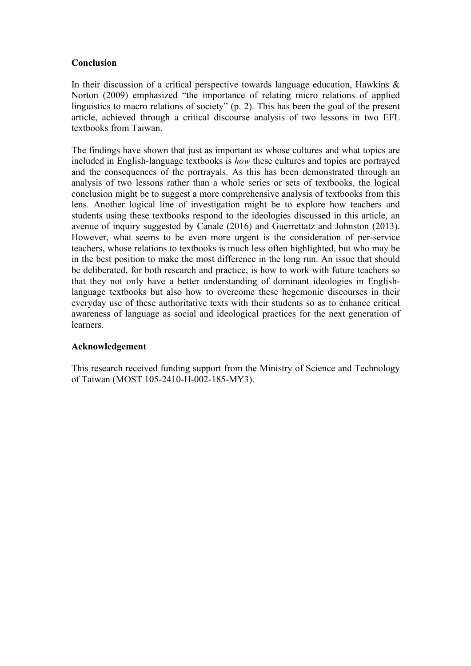# **Conclusion**

In their discussion of a critical perspective towards language education, Hawkins  $\&$ Norton (2009) emphasized "the importance of relating micro relations of applied linguistics to macro relations of society" (p. 2). This has been the goal of the present article, achieved through a critical discourse analysis of two lessons in two EFL textbooks from Taiwan.

The findings have shown that just as important as whose cultures and what topics are included in English-language textbooks is *how* these cultures and topics are portrayed and the consequences of the portrayals. As this has been demonstrated through an analysis of two lessons rather than a whole series or sets of textbooks, the logical conclusion might be to suggest a more comprehensive analysis of textbooks from this lens. Another logical line of investigation might be to explore how teachers and students using these textbooks respond to the ideologies discussed in this article, an avenue of inquiry suggested by Canale (2016) and Guerrettatz and Johnston (2013). However, what seems to be even more urgent is the consideration of per-service teachers, whose relations to textbooks is much less often highlighted, but who may be in the best position to make the most difference in the long run. An issue that should be deliberated, for both research and practice, is how to work with future teachers so that they not only have a better understanding of dominant ideologies in Englishlanguage textbooks but also how to overcome these hegemonic discourses in their everyday use of these authoritative texts with their students so as to enhance critical awareness of language as social and ideological practices for the next generation of learners.

#### **Acknowledgement**

This research received funding support from the Ministry of Science and Technology of Taiwan (MOST 105-2410-H-002-185-MY3).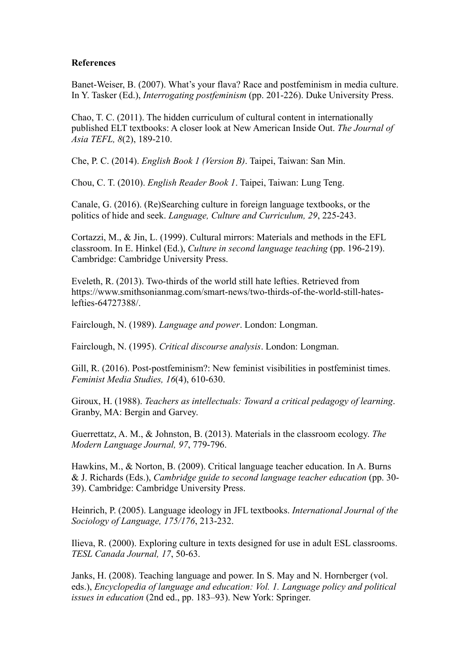#### **References**

Banet-Weiser, B. (2007). What's your flava? Race and postfeminism in media culture. In Y. Tasker (Ed.), *Interrogating postfeminism* (pp. 201-226). Duke University Press.

Chao, T. C. (2011). The hidden curriculum of cultural content in internationally published ELT textbooks: A closer look at New American Inside Out. *The Journal of Asia TEFL, 8*(2), 189-210.

Che, P. C. (2014). *English Book 1 (Version B)*. Taipei, Taiwan: San Min.

Chou, C. T. (2010). *English Reader Book 1*. Taipei, Taiwan: Lung Teng.

Canale, G. (2016). (Re)Searching culture in foreign language textbooks, or the politics of hide and seek. *Language, Culture and Curriculum, 29*, 225-243.

Cortazzi, M., & Jin, L. (1999). Cultural mirrors: Materials and methods in the EFL classroom. In E. Hinkel (Ed.), *Culture in second language teaching* (pp. 196-219). Cambridge: Cambridge University Press.

Eveleth, R. (2013). Two-thirds of the world still hate lefties. Retrieved from https://www.smithsonianmag.com/smart-news/two-thirds-of-the-world-still-hateslefties-64727388/.

Fairclough, N. (1989). *Language and power*. London: Longman.

Fairclough, N. (1995). *Critical discourse analysis*. London: Longman.

Gill, R. (2016). Post-postfeminism?: New feminist visibilities in postfeminist times. *Feminist Media Studies, 16*(4), 610-630.

Giroux, H. (1988). *Teachers as intellectuals: Toward a critical pedagogy of learning*. Granby, MA: Bergin and Garvey.

Guerrettatz, A. M., & Johnston, B. (2013). Materials in the classroom ecology. *The Modern Language Journal, 97*, 779-796.

Hawkins, M., & Norton, B. (2009). Critical language teacher education. In A. Burns & J. Richards (Eds.), *Cambridge guide to second language teacher education* (pp. 30- 39). Cambridge: Cambridge University Press.

Heinrich, P. (2005). Language ideology in JFL textbooks. *International Journal of the Sociology of Language, 175/176*, 213-232.

Ilieva, R. (2000). Exploring culture in texts designed for use in adult ESL classrooms. *TESL Canada Journal, 17*, 50-63.

Janks, H. (2008). Teaching language and power. In S. May and N. Hornberger (vol. eds.), *Encyclopedia of language and education: Vol. 1. Language policy and political issues in education* (2nd ed., pp. 183–93). New York: Springer.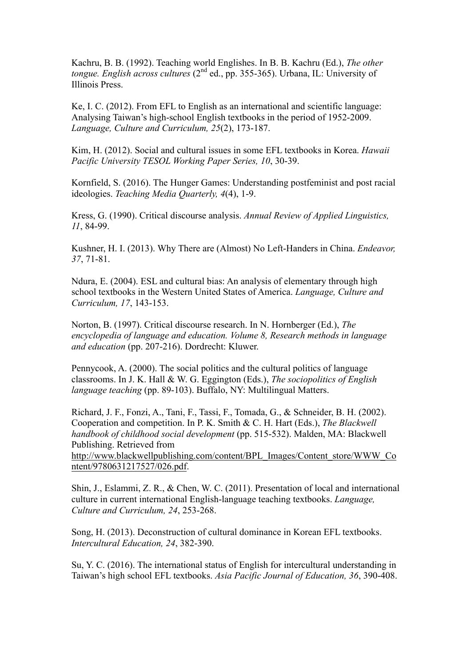Kachru, B. B. (1992). Teaching world Englishes. In B. B. Kachru (Ed.), *The other tongue. English across cultures* (2<sup>nd</sup> ed., pp. 355-365). Urbana, IL: University of Illinois Press.

Ke, I. C. (2012). From EFL to English as an international and scientific language: Analysing Taiwan's high-school English textbooks in the period of 1952-2009. *Language, Culture and Curriculum, 25*(2), 173-187.

Kim, H. (2012). Social and cultural issues in some EFL textbooks in Korea. *Hawaii Pacific University TESOL Working Paper Series, 10*, 30-39.

Kornfield, S. (2016). The Hunger Games: Understanding postfeminist and post racial ideologies. *Teaching Media Quarterly, 4*(4), 1-9.

Kress, G. (1990). Critical discourse analysis. *Annual Review of Applied Linguistics, 11*, 84-99.

Kushner, H. I. (2013). Why There are (Almost) No Left-Handers in China. *Endeavor, 37*, 71-81.

Ndura, E. (2004). ESL and cultural bias: An analysis of elementary through high school textbooks in the Western United States of America. *Language, Culture and Curriculum, 17*, 143-153.

Norton, B. (1997). Critical discourse research. In N. Hornberger (Ed.), *The encyclopedia of language and education. Volume 8, Research methods in language and education* (pp. 207-216). Dordrecht: Kluwer.

Pennycook, A. (2000). The social politics and the cultural politics of language classrooms. In J. K. Hall & W. G. Eggington (Eds.), *The sociopolitics of English language teaching* (pp. 89-103). Buffalo, NY: Multilingual Matters.

Richard, J. F., Fonzi, A., Tani, F., Tassi, F., Tomada, G., & Schneider, B. H. (2002). Cooperation and competition. In P. K. Smith & C. H. Hart (Eds.), *The Blackwell handbook of childhood social development* (pp. 515-532). Malden, MA: Blackwell Publishing. Retrieved from http://www.blackwellpublishing.com/content/BPL\_Images/Content\_store/WWW\_Co ntent/9780631217527/026.pdf.

Shin, J., Eslammi, Z. R., & Chen, W. C. (2011). Presentation of local and international culture in current international English-language teaching textbooks. *Language, Culture and Curriculum, 24*, 253-268.

Song, H. (2013). Deconstruction of cultural dominance in Korean EFL textbooks. *Intercultural Education, 24*, 382-390.

Su, Y. C. (2016). The international status of English for intercultural understanding in Taiwan's high school EFL textbooks. *Asia Pacific Journal of Education, 36*, 390-408.